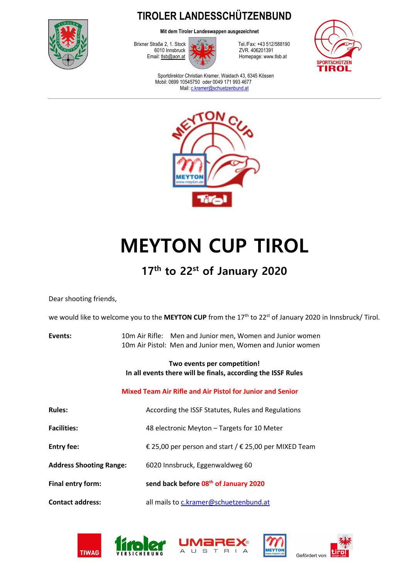

**TIROLER LANDESSCHÜTZENBUND** 

**Mit dem Tiroler Landeswappen ausgezeichnet**



Brixner Straße 2, 1. Stock Tel./Fax: +43 512/588190 Homepage: www.tlsb.at



Sportdirektor Christian Kramer, Waidach 43, 6345 Kössen Mobil: 0699 10545750 oder 0049 171 993 4677 Mail: c.kramer@schuetzenbund.at



# **MEYTON CUP TIROL**

## **17th to 22st of January 2020**

Dear shooting friends,

we would like to welcome you to the MEYTON CUP from the 17<sup>th</sup> to 22<sup>st</sup> of January 2020 in Innsbruck/ Tirol.

| Events: | 10m Air Rifle: Men and Junior men, Women and Junior women  |
|---------|------------------------------------------------------------|
|         | 10m Air Pistol: Men and Junior men, Women and Junior women |

#### **Two events per competition! In all events there will be finals, according the ISSF Rules**

#### **Mixed Team Air Rifle and Air Pistol for Junior and Senior**

| <b>Rules:</b>                  | According the ISSF Statutes, Rules and Regulations      |  |
|--------------------------------|---------------------------------------------------------|--|
| <b>Facilities:</b>             | 48 electronic Meyton - Targets for 10 Meter             |  |
| <b>Entry fee:</b>              | € 25,00 per person and start / $∈$ 25,00 per MIXED Team |  |
| <b>Address Shooting Range:</b> | 6020 Innsbruck, Eggenwaldweg 60                         |  |
| Final entry form:              | send back before 08 <sup>th</sup> of January 2020       |  |
| <b>Contact address:</b>        | all mails to c.kramer@schuetzenbund.at                  |  |









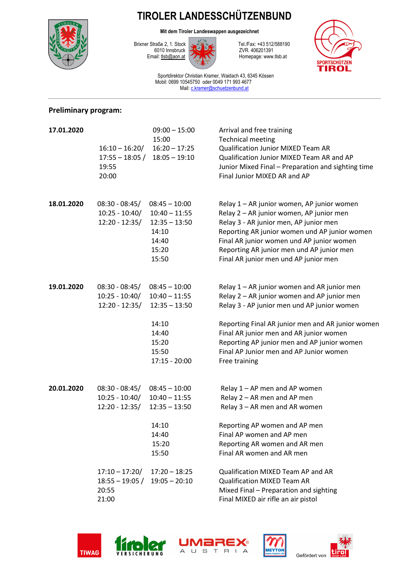

**TIROLER LANDESSCHÜTZENBUND** 

**Mit dem Tiroler Landeswappen ausgezeichnet**



Brixner Straße 2, 1. Stock Tel./Fax: +43 512/588190 Homepage: www.tlsb.at



Sportdirektor Christian Kramer, Waidach 43, 6345 Kössen Mobil: 0699 10545750 oder 0049 171 993 4677 Mail: c.kramer@schuetzenbund.at

#### **Preliminary program:**

| 17.01.2020 | $16:10 - 16:20/$<br>$17:55 - 18:05/$<br>19:55<br>20:00   | $09:00 - 15:00$<br>15:00<br>$16:20 - 17:25$<br>$18:05 - 19:10$                                               | Arrival and free training<br><b>Technical meeting</b><br>Qualification Junior MIXED Team AR<br>Qualification Junior MIXED Team AR and AP<br>Junior Mixed Final - Preparation and sighting time<br>Final Junior MIXED AR and AP                                                                                                                       |
|------------|----------------------------------------------------------|--------------------------------------------------------------------------------------------------------------|------------------------------------------------------------------------------------------------------------------------------------------------------------------------------------------------------------------------------------------------------------------------------------------------------------------------------------------------------|
| 18.01.2020 | $08:30 - 08:45/$<br>$10:25 - 10:40/$<br>$12:20 - 12:35/$ | $08:45 - 10:00$<br>$10:40 - 11:55$<br>$12:35 - 13:50$<br>14:10<br>14:40<br>15:20<br>15:50                    | Relay 1 - AR junior women, AP junior women<br>Relay 2 - AR junior women, AP junior men<br>Relay 3 - AR junior men, AP junior men<br>Reporting AR junior women und AP junior women<br>Final AR junior women und AP junior women<br>Reporting AR junior men und AP junior men<br>Final AR junior men und AP junior men                                 |
| 19.01.2020 | $08:30 - 08:45/$<br>$10:25 - 10:40/$<br>$12:20 - 12:35/$ | $08:45 - 10:00$<br>$10:40 - 11:55$<br>$12:35 - 13:50$<br>14:10<br>14:40<br>15:20<br>15:50<br>$17:15 - 20:00$ | Relay 1 - AR junior women and AR junior men<br>Relay 2 - AR junior women and AP junior men<br>Relay 3 - AP junior men und AP junior women<br>Reporting Final AR junior men and AR junior women<br>Final AR junior men and AR junior women<br>Reporting AP junior men and AP junior women<br>Final AP Junior men and AP Junior women<br>Free training |
| 20.01.2020 | $08:30 - 08:45/$<br>$10:25 - 10:40/$<br>$12:20 - 12:35/$ | $08:45 - 10:00$<br>$10:40 - 11:55$<br>$12:35 - 13:50$<br>14:10<br>14:40<br>15:20<br>15:50                    | Relay 1 - AP men and AP women<br>Relay 2 - AR men and AP men<br>Relay 3 - AR men and AR women<br>Reporting AP women and AP men<br>Final AP women and AP men<br>Reporting AR women and AR men<br>Final AR women and AR men                                                                                                                            |
|            | $17:10 - 17:20/$<br>$18:55 - 19:05/$<br>20:55<br>21:00   | $17:20 - 18:25$<br>$19:05 - 20:10$                                                                           | Qualification MIXED Team AP and AR<br><b>Qualification MIXED Team AR</b><br>Mixed Final - Preparation and sighting<br>Final MIXED air rifle an air pistol                                                                                                                                                                                            |